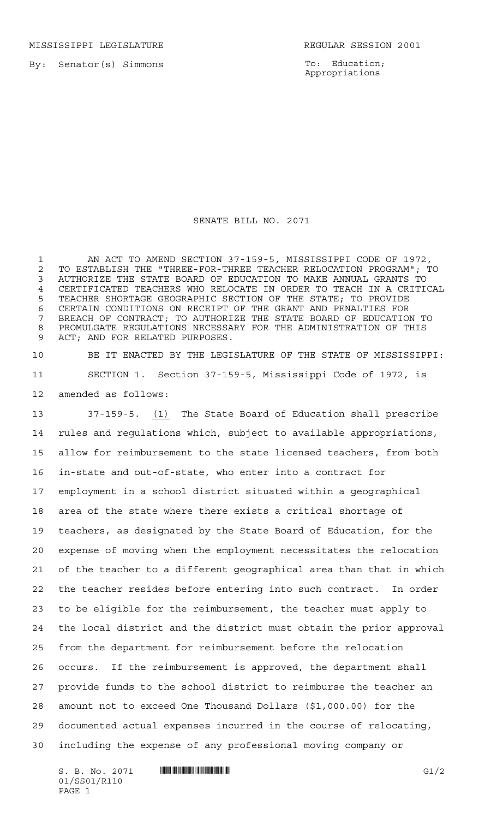MISSISSIPPI LEGISLATURE **REGULAR SESSION 2001** 

By: Senator(s) Simmons

To: Education; Appropriations

## SENATE BILL NO. 2071

 AN ACT TO AMEND SECTION 37-159-5, MISSISSIPPI CODE OF 1972, 2 TO ESTABLISH THE "THREE-FOR-THREE TEACHER RELOCATION PROGRAM"; TO<br>3 AUTHORIZE THE STATE BOARD OF EDUCATION TO MAKE ANNUAL GRANTS TO AUTHORIZE THE STATE BOARD OF EDUCATION TO MAKE ANNUAL GRANTS TO CERTIFICATED TEACHERS WHO RELOCATE IN ORDER TO TEACH IN A CRITICAL TEACHER SHORTAGE GEOGRAPHIC SECTION OF THE STATE; TO PROVIDE CERTAIN CONDITIONS ON RECEIPT OF THE GRANT AND PENALTIES FOR BREACH OF CONTRACT; TO AUTHORIZE THE STATE BOARD OF EDUCATION TO PROMULGATE REGULATIONS NECESSARY FOR THE ADMINISTRATION OF THIS ACT; AND FOR RELATED PURPOSES.

 BE IT ENACTED BY THE LEGISLATURE OF THE STATE OF MISSISSIPPI: SECTION 1. Section 37-159-5, Mississippi Code of 1972, is amended as follows:

 37-159-5. (1) The State Board of Education shall prescribe rules and regulations which, subject to available appropriations, allow for reimbursement to the state licensed teachers, from both in-state and out-of-state, who enter into a contract for employment in a school district situated within a geographical area of the state where there exists a critical shortage of teachers, as designated by the State Board of Education, for the expense of moving when the employment necessitates the relocation of the teacher to a different geographical area than that in which the teacher resides before entering into such contract. In order to be eligible for the reimbursement, the teacher must apply to the local district and the district must obtain the prior approval from the department for reimbursement before the relocation occurs. If the reimbursement is approved, the department shall provide funds to the school district to reimburse the teacher an amount not to exceed One Thousand Dollars (\$1,000.00) for the documented actual expenses incurred in the course of relocating, including the expense of any professional moving company or

S. B. No. 2071 \*SS01/R110\* G1/2 01/SS01/R110 PAGE 1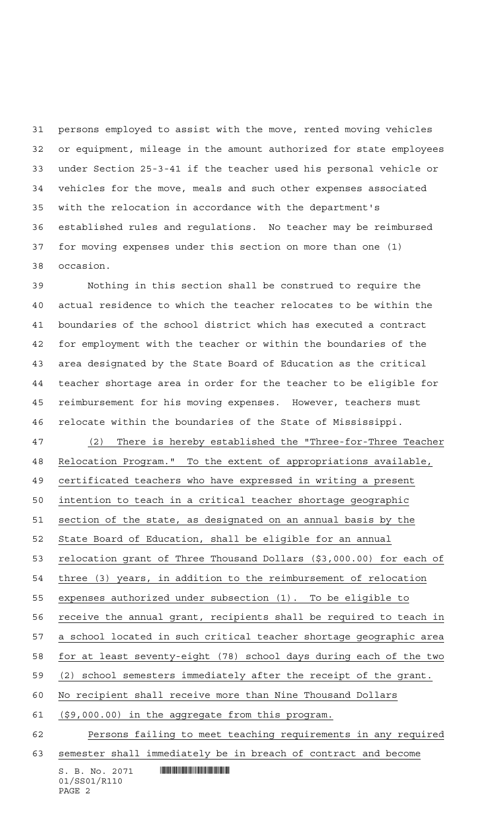persons employed to assist with the move, rented moving vehicles or equipment, mileage in the amount authorized for state employees under Section 25-3-41 if the teacher used his personal vehicle or vehicles for the move, meals and such other expenses associated with the relocation in accordance with the department's established rules and regulations. No teacher may be reimbursed for moving expenses under this section on more than one (1) occasion.

 Nothing in this section shall be construed to require the actual residence to which the teacher relocates to be within the boundaries of the school district which has executed a contract for employment with the teacher or within the boundaries of the area designated by the State Board of Education as the critical teacher shortage area in order for the teacher to be eligible for reimbursement for his moving expenses. However, teachers must relocate within the boundaries of the State of Mississippi.

 (2) There is hereby established the "Three-for-Three Teacher Relocation Program." To the extent of appropriations available,

certificated teachers who have expressed in writing a present

intention to teach in a critical teacher shortage geographic

section of the state, as designated on an annual basis by the

State Board of Education, shall be eligible for an annual

relocation grant of Three Thousand Dollars (\$3,000.00) for each of

three (3) years, in addition to the reimbursement of relocation

expenses authorized under subsection (1). To be eligible to

receive the annual grant, recipients shall be required to teach in

a school located in such critical teacher shortage geographic area

for at least seventy-eight (78) school days during each of the two

(2) school semesters immediately after the receipt of the grant.

No recipient shall receive more than Nine Thousand Dollars

(\$9,000.00) in the aggregate from this program.

 Persons failing to meet teaching requirements in any required semester shall immediately be in breach of contract and become